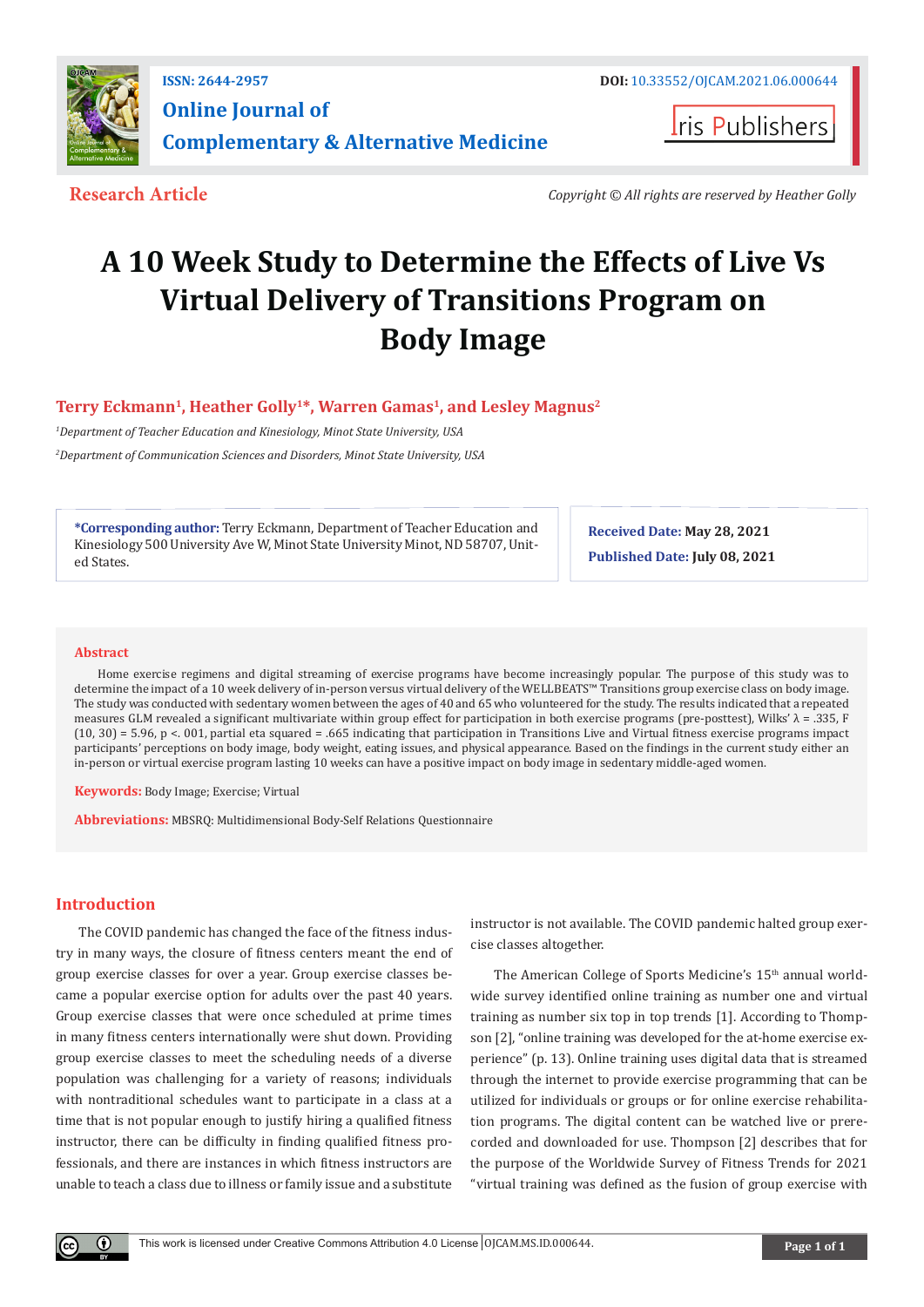

**Iris Publishers** 

**Research Article** *Copyright © All rights are reserved by Heather Golly*

# **A 10 Week Study to Determine the Effects of Live Vs Virtual Delivery of Transitions Program on Body Image**

## Terry Eckmann<sup>1</sup>, Heather Golly<sup>1\*</sup>, Warren Gamas<sup>1</sup>, and Lesley Magnus<sup>2</sup>

*1 Department of Teacher Education and Kinesiology, Minot State University, USA*

*2 Department of Communication Sciences and Disorders, Minot State University, USA*

**\*Corresponding author:** Terry Eckmann, Department of Teacher Education and Kinesiology 500 University Ave W, Minot State University Minot, ND 58707, United States.

**Received Date: May 28, 2021 Published Date: July 08, 2021**

#### **Abstract**

Home exercise regimens and digital streaming of exercise programs have become increasingly popular. The purpose of this study was to determine the impact of a 10 week delivery of in-person versus virtual delivery of the WELLBEATS™ Transitions group exercise class on body image. The study was conducted with sedentary women between the ages of 40 and 65 who volunteered for the study. The results indicated that a repeated measures GLM revealed a significant multivariate within group effect for participation in both exercise programs (pre-posttest), Wilks' λ = .335, F (10, 30) = 5.96, p <. 001, partial eta squared = .665 indicating that participation in Transitions Live and Virtual fitness exercise programs impact participants' perceptions on body image, body weight, eating issues, and physical appearance. Based on the findings in the current study either an in-person or virtual exercise program lasting 10 weeks can have a positive impact on body image in sedentary middle-aged women.

**Keywords:** Body Image; Exercise; Virtual

**Abbreviations:** MBSRQ: Multidimensional Body-Self Relations Questionnaire

## **Introduction**

The COVID pandemic has changed the face of the fitness industry in many ways, the closure of fitness centers meant the end of group exercise classes for over a year. Group exercise classes became a popular exercise option for adults over the past 40 years. Group exercise classes that were once scheduled at prime times in many fitness centers internationally were shut down. Providing group exercise classes to meet the scheduling needs of a diverse population was challenging for a variety of reasons; individuals with nontraditional schedules want to participate in a class at a time that is not popular enough to justify hiring a qualified fitness instructor, there can be difficulty in finding qualified fitness professionals, and there are instances in which fitness instructors are unable to teach a class due to illness or family issue and a substitute

instructor is not available. The COVID pandemic halted group exercise classes altogether.

The American College of Sports Medicine's 15<sup>th</sup> annual worldwide survey identified online training as number one and virtual training as number six top in top trends [1]. According to Thompson [2], "online training was developed for the at-home exercise experience" (p. 13). Online training uses digital data that is streamed through the internet to provide exercise programming that can be utilized for individuals or groups or for online exercise rehabilitation programs. The digital content can be watched live or prerecorded and downloaded for use. Thompson [2] describes that for the purpose of the Worldwide Survey of Fitness Trends for 2021 "virtual training was defined as the fusion of group exercise with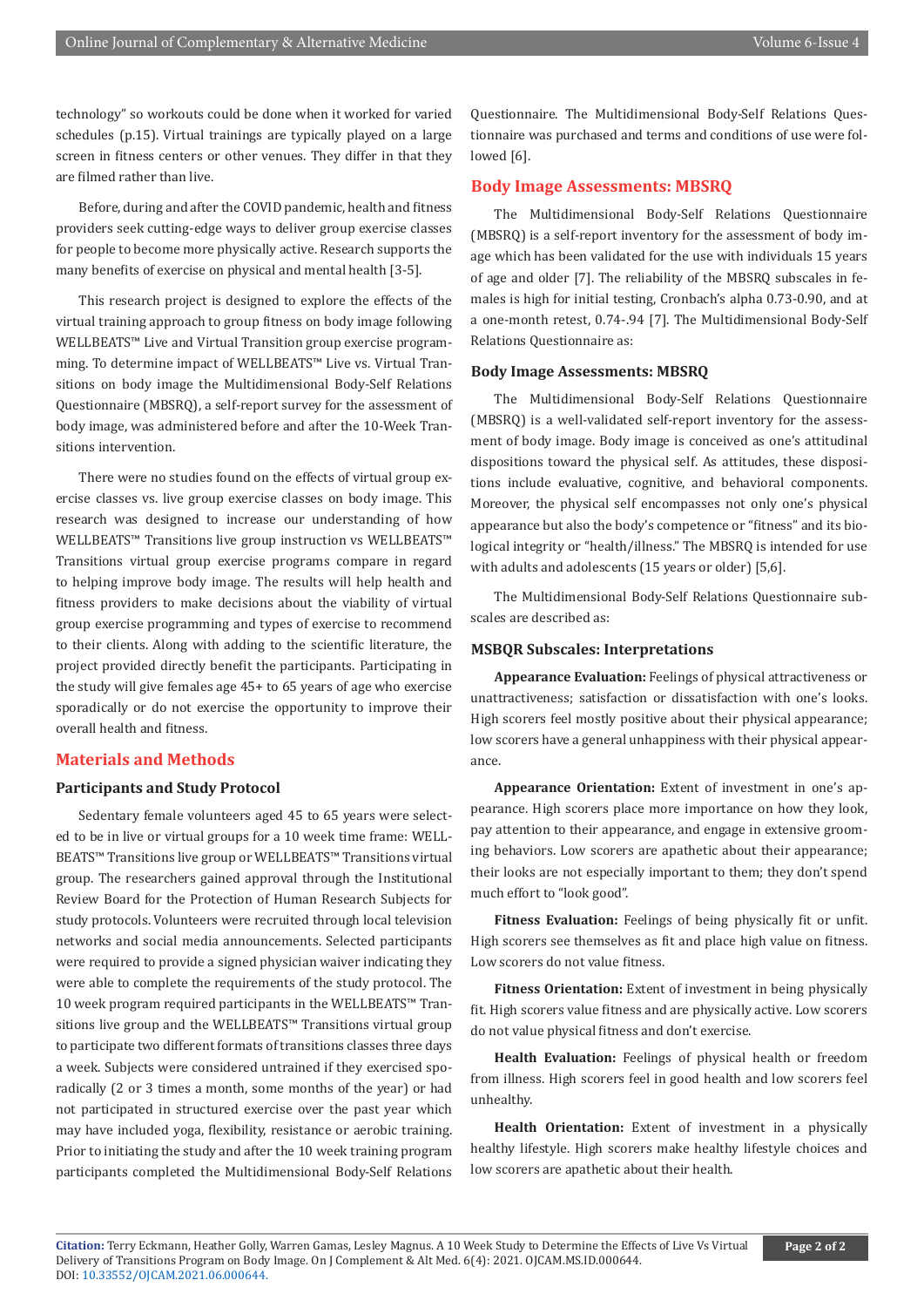technology" so workouts could be done when it worked for varied schedules (p.15). Virtual trainings are typically played on a large screen in fitness centers or other venues. They differ in that they are filmed rather than live.

Before, during and after the COVID pandemic, health and fitness providers seek cutting-edge ways to deliver group exercise classes for people to become more physically active. Research supports the many benefits of exercise on physical and mental health [3-5].

This research project is designed to explore the effects of the virtual training approach to group fitness on body image following WELLBEATS™ Live and Virtual Transition group exercise programming. To determine impact of WELLBEATS™ Live vs. Virtual Transitions on body image the Multidimensional Body-Self Relations Questionnaire (MBSRQ), a self-report survey for the assessment of body image, was administered before and after the 10-Week Transitions intervention.

There were no studies found on the effects of virtual group exercise classes vs. live group exercise classes on body image. This research was designed to increase our understanding of how WELLBEATS™ Transitions live group instruction vs WELLBEATS™ Transitions virtual group exercise programs compare in regard to helping improve body image. The results will help health and fitness providers to make decisions about the viability of virtual group exercise programming and types of exercise to recommend to their clients. Along with adding to the scientific literature, the project provided directly benefit the participants. Participating in the study will give females age 45+ to 65 years of age who exercise sporadically or do not exercise the opportunity to improve their overall health and fitness.

#### **Materials and Methods**

## **Participants and Study Protocol**

Sedentary female volunteers aged 45 to 65 years were selected to be in live or virtual groups for a 10 week time frame: WELL-BEATS™ Transitions live group or WELLBEATS™ Transitions virtual group. The researchers gained approval through the Institutional Review Board for the Protection of Human Research Subjects for study protocols. Volunteers were recruited through local television networks and social media announcements. Selected participants were required to provide a signed physician waiver indicating they were able to complete the requirements of the study protocol. The 10 week program required participants in the WELLBEATS™ Transitions live group and the WELLBEATS™ Transitions virtual group to participate two different formats of transitions classes three days a week. Subjects were considered untrained if they exercised sporadically (2 or 3 times a month, some months of the year) or had not participated in structured exercise over the past year which may have included yoga, flexibility, resistance or aerobic training. Prior to initiating the study and after the 10 week training program participants completed the Multidimensional Body-Self Relations

Questionnaire. The Multidimensional Body-Self Relations Questionnaire was purchased and terms and conditions of use were followed [6].

#### **Body Image Assessments: MBSRQ**

The Multidimensional Body-Self Relations Questionnaire (MBSRQ) is a self-report inventory for the assessment of body image which has been validated for the use with individuals 15 years of age and older [7]. The reliability of the MBSRQ subscales in females is high for initial testing, Cronbach's alpha 0.73-0.90, and at a one-month retest, 0.74-.94 [7]. The Multidimensional Body-Self Relations Questionnaire as:

#### **Body Image Assessments: MBSRQ**

The Multidimensional Body-Self Relations Questionnaire (MBSRQ) is a well-validated self-report inventory for the assessment of body image. Body image is conceived as one's attitudinal dispositions toward the physical self. As attitudes, these dispositions include evaluative, cognitive, and behavioral components. Moreover, the physical self encompasses not only one's physical appearance but also the body's competence or "fitness" and its biological integrity or "health/illness." The MBSRQ is intended for use with adults and adolescents (15 years or older) [5,6].

The Multidimensional Body-Self Relations Questionnaire subscales are described as:

#### **MSBQR Subscales: Interpretations**

**Appearance Evaluation:** Feelings of physical attractiveness or unattractiveness; satisfaction or dissatisfaction with one's looks. High scorers feel mostly positive about their physical appearance; low scorers have a general unhappiness with their physical appearance.

**Appearance Orientation:** Extent of investment in one's appearance. High scorers place more importance on how they look, pay attention to their appearance, and engage in extensive grooming behaviors. Low scorers are apathetic about their appearance; their looks are not especially important to them; they don't spend much effort to "look good".

**Fitness Evaluation:** Feelings of being physically fit or unfit. High scorers see themselves as fit and place high value on fitness. Low scorers do not value fitness.

**Fitness Orientation:** Extent of investment in being physically fit. High scorers value fitness and are physically active. Low scorers do not value physical fitness and don't exercise.

**Health Evaluation:** Feelings of physical health or freedom from illness. High scorers feel in good health and low scorers feel unhealthy.

**Health Orientation:** Extent of investment in a physically healthy lifestyle. High scorers make healthy lifestyle choices and low scorers are apathetic about their health.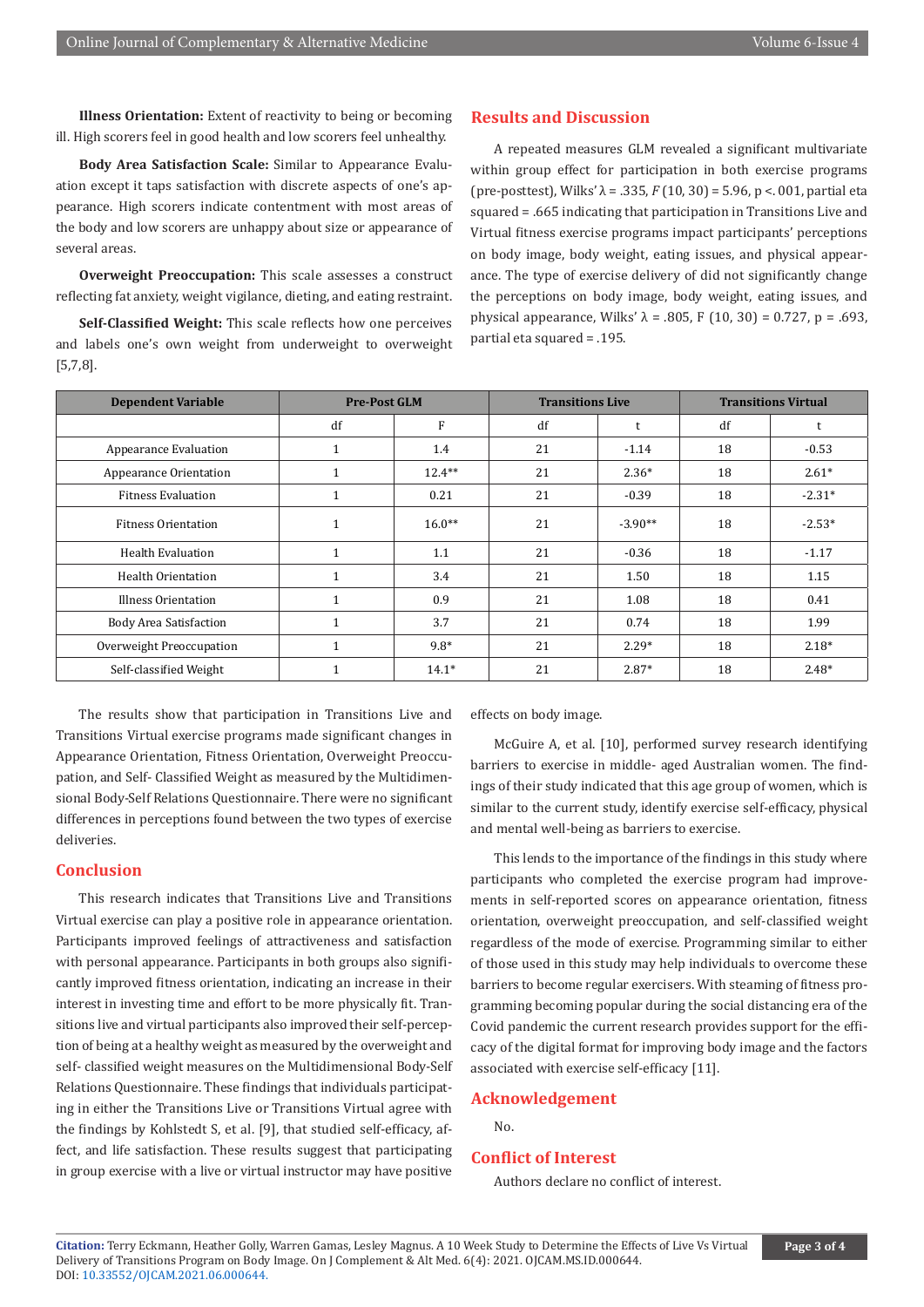**Illness Orientation:** Extent of reactivity to being or becoming ill. High scorers feel in good health and low scorers feel unhealthy.

**Body Area Satisfaction Scale:** Similar to Appearance Evaluation except it taps satisfaction with discrete aspects of one's appearance. High scorers indicate contentment with most areas of the body and low scorers are unhappy about size or appearance of several areas.

**Overweight Preoccupation:** This scale assesses a construct reflecting fat anxiety, weight vigilance, dieting, and eating restraint.

**Self-Classified Weight:** This scale reflects how one perceives and labels one's own weight from underweight to overweight [5,7,8].

### **Results and Discussion**

A repeated measures GLM revealed a significant multivariate within group effect for participation in both exercise programs (pre-posttest), Wilks'  $\lambda$  = .335,  $F(10, 30)$  = 5.96, p < 001, partial eta squared = .665 indicating that participation in Transitions Live and Virtual fitness exercise programs impact participants' perceptions on body image, body weight, eating issues, and physical appearance. The type of exercise delivery of did not significantly change the perceptions on body image, body weight, eating issues, and physical appearance, Wilks'  $λ = .805$ , F (10, 30) = 0.727, p = .693, partial eta squared = .195.

| <b>Dependent Variable</b>     | <b>Pre-Post GLM</b> |           | <b>Transitions Live</b> |           | <b>Transitions Virtual</b> |          |
|-------------------------------|---------------------|-----------|-------------------------|-----------|----------------------------|----------|
|                               | df                  | F         | df                      |           | df                         |          |
| Appearance Evaluation         |                     | 1.4       | 21                      | $-1.14$   | 18                         | $-0.53$  |
| Appearance Orientation        |                     | $12.4***$ | 21                      | $2.36*$   | 18                         | $2.61*$  |
| <b>Fitness Evaluation</b>     |                     | 0.21      | 21                      | $-0.39$   | 18                         | $-2.31*$ |
| <b>Fitness Orientation</b>    |                     | $16.0**$  | 21                      | $-3.90**$ | 18                         | $-2.53*$ |
| Health Evaluation             | 1                   | 1.1       | 21                      | $-0.36$   | 18                         | $-1.17$  |
| <b>Health Orientation</b>     |                     | 3.4       | 21                      | 1.50      | 18                         | 1.15     |
| Illness Orientation           | 1                   | 0.9       | 21                      | 1.08      | 18                         | 0.41     |
| <b>Body Area Satisfaction</b> | $\mathbf{1}$        | 3.7       | 21                      | 0.74      | 18                         | 1.99     |
| Overweight Preoccupation      | $\mathbf{1}$        | $9.8*$    | 21                      | $2.29*$   | 18                         | $2.18*$  |
| Self-classified Weight        |                     | $14.1*$   | 21                      | $2.87*$   | 18                         | $2.48*$  |

The results show that participation in Transitions Live and Transitions Virtual exercise programs made significant changes in Appearance Orientation, Fitness Orientation, Overweight Preoccupation, and Self- Classified Weight as measured by the Multidimensional Body-Self Relations Questionnaire. There were no significant differences in perceptions found between the two types of exercise deliveries.

#### **Conclusion**

This research indicates that Transitions Live and Transitions Virtual exercise can play a positive role in appearance orientation. Participants improved feelings of attractiveness and satisfaction with personal appearance. Participants in both groups also significantly improved fitness orientation, indicating an increase in their interest in investing time and effort to be more physically fit. Transitions live and virtual participants also improved their self-perception of being at a healthy weight as measured by the overweight and self- classified weight measures on the Multidimensional Body-Self Relations Questionnaire. These findings that individuals participating in either the Transitions Live or Transitions Virtual agree with the findings by Kohlstedt S, et al. [9], that studied self-efficacy, affect, and life satisfaction. These results suggest that participating in group exercise with a live or virtual instructor may have positive

effects on body image.

McGuire A, et al. [10], performed survey research identifying barriers to exercise in middle- aged Australian women. The findings of their study indicated that this age group of women, which is similar to the current study, identify exercise self-efficacy, physical and mental well-being as barriers to exercise.

This lends to the importance of the findings in this study where participants who completed the exercise program had improvements in self-reported scores on appearance orientation, fitness orientation, overweight preoccupation, and self-classified weight regardless of the mode of exercise. Programming similar to either of those used in this study may help individuals to overcome these barriers to become regular exercisers. With steaming of fitness programming becoming popular during the social distancing era of the Covid pandemic the current research provides support for the efficacy of the digital format for improving body image and the factors associated with exercise self-efficacy [11].

## **Acknowledgement**

No.

#### **Conflict of Interest**

Authors declare no conflict of interest.